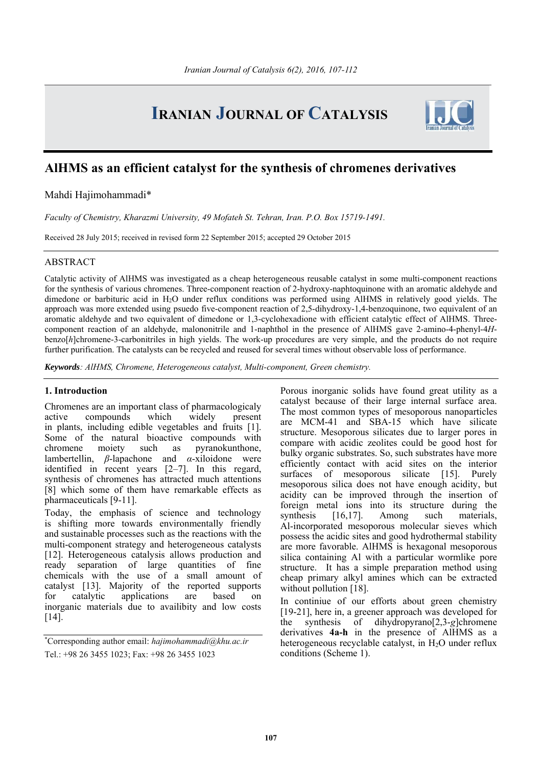# **IRANIAN JOURNAL OF CATALYSIS**



# **AlHMS as an efficient catalyst for the synthesis of chromenes derivatives**

Mahdi Hajimohammadi\*

*Faculty of Chemistry, Kharazmi University, 49 Mofateh St. Tehran, Iran. P.O. Box 15719-1491.* 

Received 28 July 2015; received in revised form 22 September 2015; accepted 29 October 2015

# ABSTRACT

Catalytic activity of AlHMS was investigated as a cheap heterogeneous reusable catalyst in some multi-component reactions for the synthesis of various chromenes. Three-component reaction of 2-hydroxy-naphtoquinone with an aromatic aldehyde and dimedone or barbituric acid in H2O under reflux conditions was performed using AlHMS in relatively good yields. The approach was more extended using psuedo five-component reaction of 2,5-dihydroxy-1,4-benzoquinone, two equivalent of an aromatic aldehyde and two equivalent of dimedone or 1,3-cyclohexadione with efficient catalytic effect of AlHMS. Threecomponent reaction of an aldehyde, malononitrile and 1-naphthol in the presence of AlHMS gave 2-amino-4-phenyl-4*H*benzo[*h*]chromene-3-carbonitriles in high yields. The work-up procedures are very simple, and the products do not require further purification. The catalysts can be recycled and reused for several times without observable loss of performance.

*Keywords: AlHMS, Chromene, Heterogeneous catalyst, Multi-component, Green chemistry.*

# **1. Introduction**

Chromenes are an important class of pharmacologicaly active compounds which widely present in plants, including edible vegetables and fruits [1]. Some of the natural bioactive compounds with chromene moiety such as pyranokunthone, lambertellin, *β*-lapachone and *α*-xiloidone were identified in recent years [2–7]. In this regard, synthesis of chromenes has attracted much attentions [8] which some of them have remarkable effects as pharmaceuticals [9-11].

Today, the emphasis of science and technology is shifting more towards environmentally friendly and sustainable processes such as the reactions with the multi-component strategy and heterogeneous catalysts [12]. Heterogeneous catalysis allows production and ready separation of large quantities of fine chemicals with the use of a small amount of catalyst [13]. Majority of the reported supports for catalytic applications are based on inorganic materials due to availibity and low costs [14].

Porous inorganic solids have found great utility as a catalyst because of their large internal surface area. The most common types of mesoporous nanoparticles are MCM-41 and SBA-15 which have silicate structure. Mesoporous silicates due to larger pores in compare with acidic zeolites could be good host for bulky organic substrates. So, such substrates have more efficiently contact with acid sites on the interior surfaces of mesoporous silicate [15]. Purely mesoporous silica does not have enough acidity, but acidity can be improved through the insertion of foreign metal ions into its structure during the synthesis [16,17]. Among such materials, Al-incorporated mesoporous molecular sieves which possess the acidic sites and good hydrothermal stability are more favorable. AlHMS is hexagonal mesoporous silica containing Al with a particular wormlike pore structure. It has a simple preparation method using cheap primary alkyl amines which can be extracted without pollution [18].

In continiue of our efforts about green chemistry [19-21], here in, a greener approach was developed for the synthesis of dihydropyrano[2,3-*g*]chromene derivatives **4a-h** in the presence of AlHMS as a heterogeneous recyclable catalyst, in  $H_2O$  under reflux conditions (Scheme 1).

<sup>\*</sup> Corresponding author email: *hajimohammadi@khu.ac.ir* Tel.: +98 26 3455 1023; Fax: +98 26 3455 1023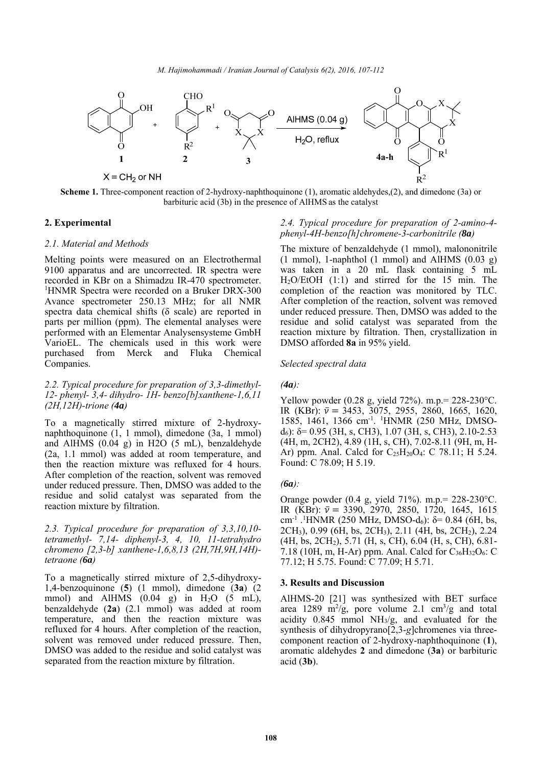

**Scheme 1.** Three-component reaction of 2-hydroxy-naphthoquinone (1), aromatic aldehydes,(2), and dimedone (3a) or barbituric acid (3b) in the presence of AlHMS as the catalyst

# **2. Experimental**

## *2.1. Material and Methods*

Melting points were measured on an Electrothermal 9100 apparatus and are uncorrected. IR spectra were recorded in KBr on a Shimadzu IR-470 spectrometer. <sup>1</sup>HNMR Spectra were recorded on a Bruker DRX-300 Avance spectrometer 250.13 MHz; for all NMR spectra data chemical shifts (δ scale) are reported in parts per million (ppm). The elemental analyses were performed with an Elementar Analysensysteme GmbH VarioEL. The chemicals used in this work were purchased from Merck and Fluka Chemical Companies.

# *2.2. Typical procedure for preparation of 3,3-dimethyl-12- phenyl- 3,4- dihydro- 1H- benzo[b]xanthene-1,6,11 (2H,12H)-trione (4a)*

To a magnetically stirred mixture of 2-hydroxynaphthoquinone (1, 1 mmol), dimedone (3a, 1 mmol) and AlHMS (0.04 g) in H2O (5 mL), benzaldehyde (2a, 1.1 mmol) was added at room temperature, and then the reaction mixture was refluxed for 4 hours. After completion of the reaction, solvent was removed under reduced pressure. Then, DMSO was added to the residue and solid catalyst was separated from the reaction mixture by filtration.

# *2.3. Typical procedure for preparation of 3,3,10,10 tetramethyl- 7,14- diphenyl-3, 4, 10, 11-tetrahydro chromeno [2,3-b] xanthene-1,6,8,13 (2H,7H,9H,14H) tetraone (6a)*

To a magnetically stirred mixture of 2,5-dihydroxy-1,4-benzoquinone (**5**) (1 mmol), dimedone (**3a**) (2 mmol) and AlHMS  $(0.04 \text{ g})$  in H<sub>2</sub>O  $(5 \text{ mL})$ , benzaldehyde (**2a**) (2.1 mmol) was added at room temperature, and then the reaction mixture was refluxed for 4 hours. After completion of the reaction, solvent was removed under reduced pressure. Then, DMSO was added to the residue and solid catalyst was separated from the reaction mixture by filtration.

# *2.4. Typical procedure for preparation of 2-amino-4 phenyl-4H-benzo[h]chromene-3-carbonitrile (8a)*

The mixture of benzaldehyde (1 mmol), malononitrile (1 mmol), 1-naphthol (1 mmol) and AlHMS (0.03 g) was taken in a 20 mL flask containing 5 mL H2O/EtOH (1:1) and stirred for the 15 min. The completion of the reaction was monitored by TLC. After completion of the reaction, solvent was removed under reduced pressure. Then, DMSO was added to the residue and solid catalyst was separated from the reaction mixture by filtration. Then, crystallization in DMSO afforded **8a** in 95% yield.

### *Selected spectral data*

### $(4a)$ :

Yellow powder (0.28 g, yield 72%). m.p.= 228-230°C. IR (KBr):  $\bar{v}$  = 3453, 3075, 2955, 2860, 1665, 1620, 1585, 1461, 1366 cm-1. 1 HNMR (250 MHz, DMSOd6): δ= 0.95 (3H, s, CH3), 1.07 (3H, s, CH3), 2.10-2.53 (4H, m, 2CH2), 4.89 (1H, s, CH), 7.02-8.11 (9H, m, H-Ar) ppm. Anal. Calcd for  $C_{25}H_{20}O_4$ : C 78.11; H 5.24. Found: C 78.09; H 5.19.

### *(6a):*

Orange powder (0.4 g, yield 71%). m.p.= 228-230°C. IR (KBr):  $\bar{v} = 3390, 2970, 2850, 1720, 1645, 1615$ cm<sup>-1</sup> .<sup>1</sup> HNMR (250 MHz, DMSO-d<sub>6</sub>): δ= 0.84 (6H, bs, 2CH3), 0.99 (6H, bs, 2CH3), 2.11 (4H, bs, 2CH2), 2.24 (4H, bs, 2CH2), 5.71 (H, s, CH), 6.04 (H, s, CH), 6.81- 7.18 (10H, m, H-Ar) ppm. Anal. Calcd for  $C_{36}H_{32}O_6$ : C 77.12; H 5.75. Found: C 77.09; H 5.71.

### **3. Results and Discussion**

AlHMS-20 [21] was synthesized with BET surface area 1289 m<sup>2</sup>/g, pore volume 2.1 cm<sup>3</sup>/g and total acidity 0.845 mmol NH3/g, and evaluated for the synthesis of dihydropyrano<sup>[2,3-g]chromenes via three-</sup> component reaction of 2-hydroxy-naphthoquinone (**1**), aromatic aldehydes **2** and dimedone (**3a**) or barbituric acid (**3b**).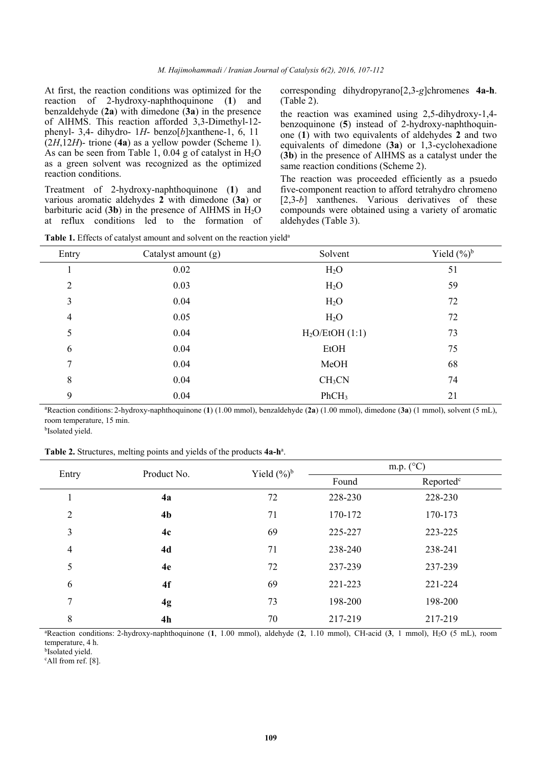At first, the reaction conditions was optimized for the reaction of 2-hydroxy-naphthoquinone (**1**) and benzaldehyde (**2a**) with dimedone (**3a**) in the presence of AlHMS. This reaction afforded 3,3-Dimethyl-12 phenyl- 3,4- dihydro- 1*H*- benzo[*b*]xanthene-1, 6, 11 (2*H*,12*H*)- trione (**4a**) as a yellow powder (Scheme 1). As can be seen from Table 1, 0.04 g of catalyst in  $H_2O$ as a green solvent was recognized as the optimized reaction conditions.

Treatment of 2-hydroxy-naphthoquinone (**1**) and various aromatic aldehydes **2** with dimedone (**3a**) or barbituric acid  $(3b)$  in the presence of AlHMS in  $H_2O$ at reflux conditions led to the formation of corresponding dihydropyrano[2,3-*g*]chromenes **4a-h**. (Table 2).

the reaction was examined using 2,5-dihydroxy-1,4 benzoquinone (**5**) instead of 2-hydroxy-naphthoquinone (**1**) with two equivalents of aldehydes **2** and two equivalents of dimedone (**3a**) or 1,3-cyclohexadione (**3b**) in the presence of AlHMS as a catalyst under the same reaction conditions (Scheme 2).

The reaction was proceeded efficiently as a psuedo five-component reaction to afford tetrahydro chromeno [2,3-*b*] xanthenes. Various derivatives of these compounds were obtained using a variety of aromatic aldehydes (Table 3).

|                | $\overline{\phantom{a}}$ | $\overline{\phantom{a}}$ |                |
|----------------|--------------------------|--------------------------|----------------|
| Entry          | Catalyst amount (g)      | Solvent                  | Yield $(\%)^b$ |
| л              | 0.02                     | H <sub>2</sub> O         | 51             |
| $\overline{2}$ | 0.03                     | H <sub>2</sub> O         | 59             |
| 3              | 0.04                     | $H_2O$                   | 72             |
| $\overline{4}$ | 0.05                     | H <sub>2</sub> O         | 72             |
| 5              | 0.04                     | $H2O/E$ tOH $(1:1)$      | 73             |
| 6              | 0.04                     | <b>EtOH</b>              | 75             |
| 7              | 0.04                     | MeOH                     | 68             |
| 8              | 0.04                     | CH <sub>3</sub> CN       | 74             |
| 9              | 0.04                     | PhCH <sub>3</sub>        | 21             |

**Table 1.** Effects of catalyst amount and solvent on the reaction yield<sup>a</sup>

a Reaction conditions: 2-hydroxy-naphthoquinone (**1**) (1.00 mmol), benzaldehyde (**2a**) (1.00 mmol), dimedone (**3a**) (1 mmol), solvent (5 mL), room temperature, 15 min. bIsolated yield.

Table 2. Structures, melting points and yields of the products 4a-h<sup>a</sup>.

| Entry          | Product No.    | m.p. $(^{\circ}C)$<br>Yield $(\frac{6}{6})^b$ |         |                       |
|----------------|----------------|-----------------------------------------------|---------|-----------------------|
|                |                |                                               | Found   | Reported <sup>c</sup> |
| 1              | 4a             | 72                                            | 228-230 | 228-230               |
| $\overline{2}$ | 4 <sub>b</sub> | 71                                            | 170-172 | 170-173               |
| 3              | 4c             | 69                                            | 225-227 | 223-225               |
| $\overline{4}$ | 4d             | 71                                            | 238-240 | 238-241               |
| 5              | 4e             | 72                                            | 237-239 | 237-239               |
| 6              | 4f             | 69                                            | 221-223 | 221-224               |
| 7              | 4g             | 73                                            | 198-200 | 198-200               |
| 8              | 4 <sub>h</sub> | 70                                            | 217-219 | 217-219               |

a Reaction conditions: 2-hydroxy-naphthoquinone (**1**, 1.00 mmol), aldehyde (**2**, 1.10 mmol), CH-acid (**3**, 1 mmol), H2O (5 mL), room temperature, 4 h.

**bIsolated** yield.

c All from ref. [8].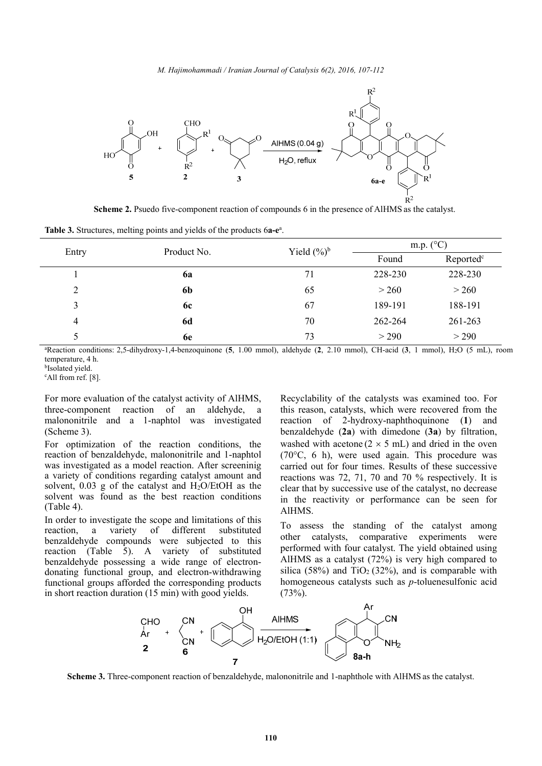

**Scheme 2.** Psuedo five-component reaction of compounds 6 in the presence of AlHMS as the catalyst.

| Table 3. Structures, melting points and yields of the products 6a-e <sup>a</sup> . |  |  |  |  |  |
|------------------------------------------------------------------------------------|--|--|--|--|--|
|------------------------------------------------------------------------------------|--|--|--|--|--|

|          | Product No. | Yield $(\%)^b$ | m.p. $(^{\circ}C)$ |                       |  |
|----------|-------------|----------------|--------------------|-----------------------|--|
| Entry    |             |                | Found              | Reported <sup>c</sup> |  |
|          | 6a          | 71             | 228-230            | 228-230               |  |
| $\gamma$ | 6b          | 65             | > 260              | > 260                 |  |
| 3        | 6c          | 67             | 189-191            | 188-191               |  |
| 4        | <b>6d</b>   | 70             | 262-264            | 261-263               |  |
|          | 6e          | 73             | > 290              | > 290                 |  |

a Reaction conditions: 2,5-dihydroxy-1,4-benzoquinone (**5**, 1.00 mmol), aldehyde (**2**, 2.10 mmol), CH-acid (**3**, 1 mmol), H2O (5 mL), room temperature, 4 h.

b Isolated yield.

c All from ref. [8].

For more evaluation of the catalyst activity of AlHMS, three-component reaction of an aldehyde, a malononitrile and a 1-naphtol was investigated (Scheme 3).

For optimization of the reaction conditions, the reaction of benzaldehyde, malononitrile and 1-naphtol was investigated as a model reaction. After screeninig a variety of conditions regarding catalyst amount and solvent, 0.03 g of the catalyst and H2O/EtOH as the solvent was found as the best reaction conditions (Table 4).

In order to investigate the scope and limitations of this reaction, a variety of different substituted benzaldehyde compounds were subjected to this reaction (Table 5). A variety of substituted benzaldehyde possessing a wide range of electrondonating functional group, and electron-withdrawing functional groups afforded the corresponding products in short reaction duration (15 min) with good yields.

Recyclability of the catalysts was examined too. For this reason, catalysts, which were recovered from the reaction of 2-hydroxy-naphthoquinone (**1**) and benzaldehyde (**2a**) with dimedone (**3a**) by filtration, washed with acetone  $(2 \times 5 \text{ mL})$  and dried in the oven (70°C, 6 h), were used again. This procedure was carried out for four times. Results of these successive reactions was 72, 71, 70 and 70 % respectively. It is clear that by successive use of the catalyst, no decrease in the reactivity or performance can be seen for AlHMS.

To assess the standing of the catalyst among other catalysts, comparative experiments were performed with four catalyst. The yield obtained using AlHMS as a catalyst (72%) is very high compared to silica (58%) and  $TiO<sub>2</sub>$  (32%), and is comparable with homogeneous catalysts such as *p*-toluenesulfonic acid  $(73%).$ 



**Scheme 3.** Three-component reaction of benzaldehyde, malononitrile and 1-naphthole with AlHMS as the catalyst.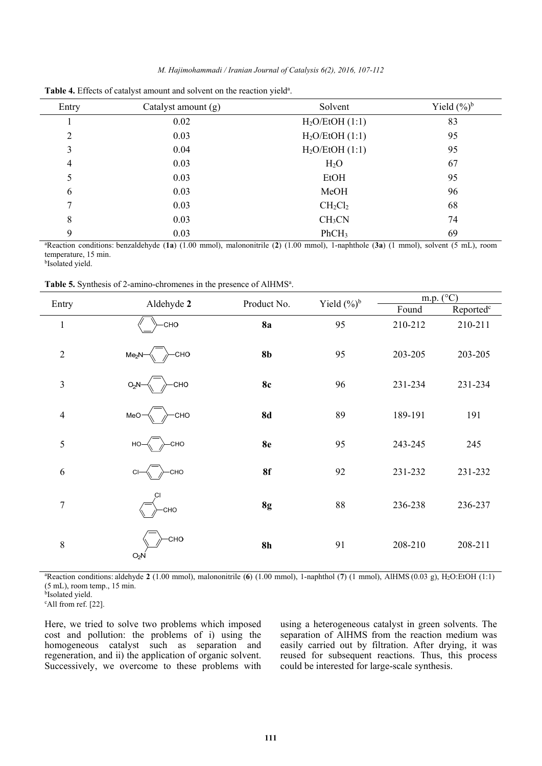|  | M. Hajimohammadi / Iranian Journal of Catalysis 6(2), 2016, 107-112 |  |  |  |
|--|---------------------------------------------------------------------|--|--|--|
|--|---------------------------------------------------------------------|--|--|--|

| Entry                                                                                                                                           | Catalyst amount $(g)$ | Solvent             | Yield $(\%)^b$ |  |  |
|-------------------------------------------------------------------------------------------------------------------------------------------------|-----------------------|---------------------|----------------|--|--|
|                                                                                                                                                 | 0.02                  | $H2O/E$ tOH $(1:1)$ | 83             |  |  |
| 2                                                                                                                                               | 0.03                  | $H2O/E$ tOH $(1:1)$ | 95             |  |  |
| 3                                                                                                                                               | 0.04                  | $H2O/E$ tOH $(1:1)$ | 95             |  |  |
| 4                                                                                                                                               | 0.03                  | $H_2O$              | 67             |  |  |
| 5                                                                                                                                               | 0.03                  | EtOH                | 95             |  |  |
| 6                                                                                                                                               | 0.03                  | MeOH                | 96             |  |  |
| 7                                                                                                                                               | 0.03                  | $CH_2Cl_2$          | 68             |  |  |
| 8                                                                                                                                               | 0.03                  | CH <sub>3</sub> CN  | 74             |  |  |
| 9                                                                                                                                               | 0.03                  | PhCH <sub>3</sub>   | 69             |  |  |
| <sup>a</sup> Reaction conditions: benzaldehyde (1a) (1.00 mmol), malononitrile (2) (1.00 mmol), 1-naphthole (3a) (1 mmol), solvent (5 mL), room |                       |                     |                |  |  |

Table 4. Effects of catalyst amount and solvent on the reaction yield<sup>a</sup>.

temperature, 15 min.

b Isolated yield.

Table 5. Synthesis of 2-amino-chromenes in the presence of AlHMS<sup>a</sup>.

|                |                          | Product No.    | Yield $(\%)^b$ |         | $\underline{m.p.}$ (°C) |  |
|----------------|--------------------------|----------------|----------------|---------|-------------------------|--|
| Entry          | Aldehyde 2               |                |                | Found   | Reported <sup>c</sup>   |  |
| $\mathbf 1$    | <b>CHO</b>               | <b>8a</b>      | 95             | 210-212 | 210-211                 |  |
| $\overline{2}$ | <b>CHO</b><br>$Me2N-$    | 8 <sub>b</sub> | 95             | 203-205 | 203-205                 |  |
| $\mathfrak{Z}$ | CHO<br>$O_2N^-$          | <b>8c</b>      | 96             | 231-234 | 231-234                 |  |
| $\overline{4}$ | CHO<br>MeO-              | <b>8d</b>      | 89             | 189-191 | 191                     |  |
| 5              | CHO<br>$HO-$             | <b>8e</b>      | 95             | 243-245 | 245                     |  |
| 6              | -CHO<br>$Cl-$            | 8f             | 92             | 231-232 | 231-232                 |  |
| $\overline{7}$ | <b>CI</b><br><b>CHO</b>  | 8g             | 88             | 236-238 | 236-237                 |  |
| 8              | -CHO<br>O <sub>2</sub> N | 8 <sub>h</sub> | 91             | 208-210 | 208-211                 |  |

a Reaction conditions: aldehyde **2** (1.00 mmol), malononitrile (**6**) (1.00 mmol), 1-naphthol (**7**) (1 mmol), AlHMS (0.03 g), H2O:EtOH (1:1) (5 mL), room temp., 15 min.

**bIsolated** yield.

c All from ref. [22].

Here, we tried to solve two problems which imposed cost and pollution: the problems of i) using the homogeneous catalyst such as separation and regeneration, and ii) the application of organic solvent. Successively, we overcome to these problems with using a heterogeneous catalyst in green solvents. The separation of AlHMS from the reaction medium was easily carried out by filtration. After drying, it was reused for subsequent reactions. Thus, this process could be interested for large-scale synthesis.